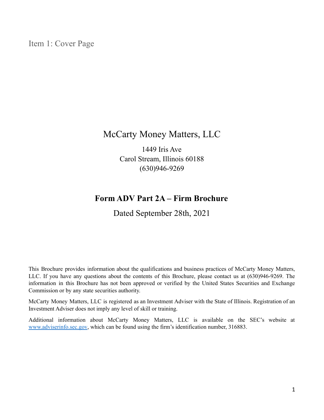<span id="page-0-0"></span>Item 1: Cover Page

## McCarty Money Matters, LLC

1449 Iris Ave Carol Stream, Illinois 60188 (630)946-9269

## **Form ADV Part 2A – Firm Brochure**

Dated September 28th, 2021

This Brochure provides information about the qualifications and business practices of McCarty Money Matters, LLC. If you have any questions about the contents of this Brochure, please contact us at (630)946-9269. The information in this Brochure has not been approved or verified by the United States Securities and Exchange Commission or by any state securities authority.

McCarty Money Matters, LLC is registered as an Investment Adviser with the State of Illinois. Registration of an Investment Adviser does not imply any level of skill or training.

Additional information about McCarty Money Matters, LLC is available on the SEC's website at [www.adviserinfo.sec.gov](http://www.adviserinfo.sec.gov), which can be found using the firm's identification number, 316883.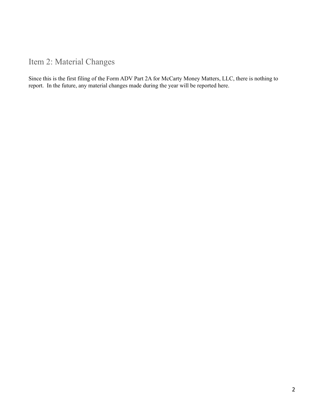<span id="page-1-0"></span>Item 2: Material Changes

Since this is the first filing of the Form ADV Part 2A for McCarty Money Matters, LLC, there is nothing to report. In the future, any material changes made during the year will be reported here.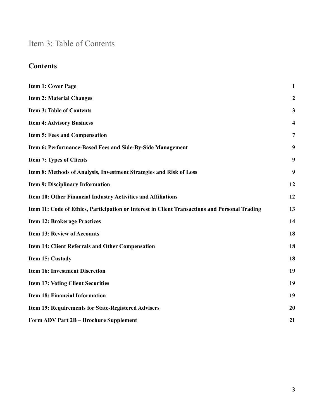# <span id="page-2-0"></span>Item 3: Table of Contents

## **Contents**

| <b>Item 1: Cover Page</b>                                                                      | $\mathbf{1}$            |
|------------------------------------------------------------------------------------------------|-------------------------|
| <b>Item 2: Material Changes</b>                                                                | $\boldsymbol{2}$        |
| <b>Item 3: Table of Contents</b>                                                               | $\mathbf{3}$            |
| <b>Item 4: Advisory Business</b>                                                               | $\overline{\mathbf{4}}$ |
| <b>Item 5: Fees and Compensation</b>                                                           | $\overline{7}$          |
| Item 6: Performance-Based Fees and Side-By-Side Management                                     | 9                       |
| <b>Item 7: Types of Clients</b>                                                                | 9                       |
| Item 8: Methods of Analysis, Investment Strategies and Risk of Loss                            | 9                       |
| Item 9: Disciplinary Information                                                               | 12                      |
| Item 10: Other Financial Industry Activities and Affiliations                                  | 12                      |
| Item 11: Code of Ethics, Participation or Interest in Client Transactions and Personal Trading | 13                      |
| <b>Item 12: Brokerage Practices</b>                                                            | 14                      |
| <b>Item 13: Review of Accounts</b>                                                             | 18                      |
| Item 14: Client Referrals and Other Compensation                                               | 18                      |
| Item 15: Custody                                                                               | 18                      |
| <b>Item 16: Investment Discretion</b>                                                          | 19                      |
| <b>Item 17: Voting Client Securities</b>                                                       | 19                      |
| <b>Item 18: Financial Information</b>                                                          | 19                      |
| <b>Item 19: Requirements for State-Registered Advisers</b>                                     | 20                      |
| <b>Form ADV Part 2B - Brochure Supplement</b>                                                  | 21                      |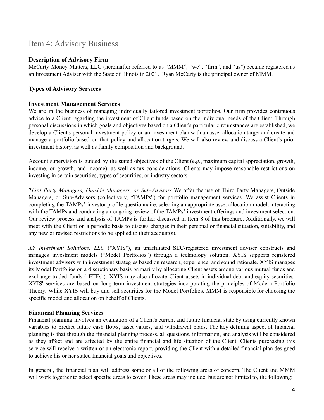## <span id="page-3-0"></span>Item 4: Advisory Business

#### **Description of Advisory Firm**

McCarty Money Matters, LLC (hereinafter referred to as "MMM", "we", "firm", and "us") became registered as an Investment Adviser with the State of Illinois in 2021. Ryan McCarty is the principal owner of MMM.

#### **Types of Advisory Services**

#### **Investment Management Services**

We are in the business of managing individually tailored investment portfolios. Our firm provides continuous advice to a Client regarding the investment of Client funds based on the individual needs of the Client. Through personal discussions in which goals and objectives based on a Client's particular circumstances are established, we develop a Client's personal investment policy or an investment plan with an asset allocation target and create and manage a portfolio based on that policy and allocation targets. We will also review and discuss a Client's prior investment history, as well as family composition and background.

Account supervision is guided by the stated objectives of the Client (e.g., maximum capital appreciation, growth, income, or growth, and income), as well as tax considerations. Clients may impose reasonable restrictions on investing in certain securities, types of securities, or industry sectors.

*Third Party Managers, Outside Managers, or Sub-Advisors* We offer the use of Third Party Managers, Outside Managers, or Sub-Advisors (collectively, "TAMPs") for portfolio management services. We assist Clients in completing the TAMPs' investor profile questionnaire, selecting an appropriate asset allocation model, interacting with the TAMPs and conducting an ongoing review of the TAMPs' investment offerings and investment selection. Our review process and analysis of TAMPs is further discussed in Item 8 of this brochure. Additionally, we will meet with the Client on a periodic basis to discuss changes in their personal or financial situation, suitability, and any new or revised restrictions to be applied to their account(s).

*XY Investment Solutions, LLC* ("XYIS"), an unaffiliated SEC-registered investment adviser constructs and manages investment models ("Model Portfolios") through a technology solution. XYIS supports registered investment advisers with investment strategies based on research, experience, and sound rationale. XYIS manages its Model Portfolios on a discretionary basis primarily by allocating Client assets among various mutual funds and exchange-traded funds ("ETFs"). XYIS may also allocate Client assets in individual debt and equity securities. XYIS' services are based on long-term investment strategies incorporating the principles of Modern Portfolio Theory. While XYIS will buy and sell securities for the Model Portfolios, MMM is responsible for choosing the specific model and allocation on behalf of Clients.

#### **Financial Planning Services**

Financial planning involves an evaluation of a Client's current and future financial state by using currently known variables to predict future cash flows, asset values, and withdrawal plans. The key defining aspect of financial planning is that through the financial planning process, all questions, information, and analysis will be considered as they affect and are affected by the entire financial and life situation of the Client. Clients purchasing this service will receive a written or an electronic report, providing the Client with a detailed financial plan designed to achieve his or her stated financial goals and objectives.

In general, the financial plan will address some or all of the following areas of concern. The Client and MMM will work together to select specific areas to cover. These areas may include, but are not limited to, the following: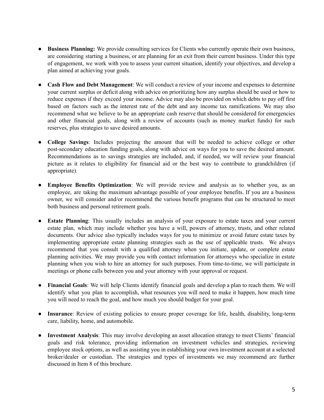- **Business Planning:** We provide consulting services for Clients who currently operate their own business, are considering starting a business, or are planning for an exit from their current business. Under this type of engagement, we work with you to assess your current situation, identify your objectives, and develop a plan aimed at achieving your goals.
- **Cash Flow and Debt Management**: We will conduct a review of your income and expenses to determine your current surplus or deficit along with advice on prioritizing how any surplus should be used or how to reduce expenses if they exceed your income. Advice may also be provided on which debts to pay off first based on factors such as the interest rate of the debt and any income tax ramifications. We may also recommend what we believe to be an appropriate cash reserve that should be considered for emergencies and other financial goals, along with a review of accounts (such as money market funds) for such reserves, plus strategies to save desired amounts.
- **College Savings**: Includes projecting the amount that will be needed to achieve college or other post-secondary education funding goals, along with advice on ways for you to save the desired amount. Recommendations as to savings strategies are included, and, if needed, we will review your financial picture as it relates to eligibility for financial aid or the best way to contribute to grandchildren (if appropriate).
- **Employee Benefits Optimization**: We will provide review and analysis as to whether you, as an employee, are taking the maximum advantage possible of your employee benefits. If you are a business owner, we will consider and/or recommend the various benefit programs that can be structured to meet both business and personal retirement goals.
- **Estate Planning**: This usually includes an analysis of your exposure to estate taxes and your current estate plan, which may include whether you have a will, powers of attorney, trusts, and other related documents. Our advice also typically includes ways for you to minimize or avoid future estate taxes by implementing appropriate estate planning strategies such as the use of applicable trusts. We always recommend that you consult with a qualified attorney when you initiate, update, or complete estate planning activities. We may provide you with contact information for attorneys who specialize in estate planning when you wish to hire an attorney for such purposes. From time-to-time, we will participate in meetings or phone calls between you and your attorney with your approval or request.
- **Financial Goals**: We will help Clients identify financial goals and develop a plan to reach them. We will identify what you plan to accomplish, what resources you will need to make it happen, how much time you will need to reach the goal, and how much you should budget for your goal.
- **Insurance**: Review of existing policies to ensure proper coverage for life, health, disability, long-term care, liability, home, and automobile.
- **Investment Analysis**: This may involve developing an asset allocation strategy to meet Clients' financial goals and risk tolerance, providing information on investment vehicles and strategies, reviewing employee stock options, as well as assisting you in establishing your own investment account at a selected broker/dealer or custodian. The strategies and types of investments we may recommend are further discussed in Item 8 of this brochure.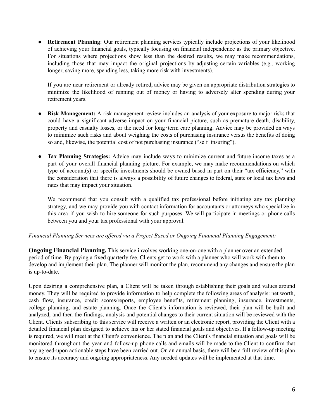● **Retirement Planning**: Our retirement planning services typically include projections of your likelihood of achieving your financial goals, typically focusing on financial independence as the primary objective. For situations where projections show less than the desired results, we may make recommendations, including those that may impact the original projections by adjusting certain variables (e.g., working longer, saving more, spending less, taking more risk with investments).

If you are near retirement or already retired, advice may be given on appropriate distribution strategies to minimize the likelihood of running out of money or having to adversely alter spending during your retirement years.

- **Risk Management:** A risk management review includes an analysis of your exposure to major risks that could have a significant adverse impact on your financial picture, such as premature death, disability, property and casualty losses, or the need for long-term care planning. Advice may be provided on ways to minimize such risks and about weighing the costs of purchasing insurance versus the benefits of doing so and, likewise, the potential cost of not purchasing insurance ("self‐insuring").
- **Tax Planning Strategies:** Advice may include ways to minimize current and future income taxes as a part of your overall financial planning picture. For example, we may make recommendations on which type of account(s) or specific investments should be owned based in part on their "tax efficiency," with the consideration that there is always a possibility of future changes to federal, state or local tax laws and rates that may impact your situation.

We recommend that you consult with a qualified tax professional before initiating any tax planning strategy, and we may provide you with contact information for accountants or attorneys who specialize in this area if you wish to hire someone for such purposes. We will participate in meetings or phone calls between you and your tax professional with your approval.

#### *Financial Planning Services are of ered via a Project Based or Ongoing Financial Planning Engagement:*

**Ongoing Financial Planning.** This service involves working one-on-one with a planner over an extended period of time. By paying a fixed quarterly fee, Clients get to work with a planner who will work with them to develop and implement their plan. The planner will monitor the plan, recommend any changes and ensure the plan is up-to-date.

Upon desiring a comprehensive plan, a Client will be taken through establishing their goals and values around money. They will be required to provide information to help complete the following areas of analysis: net worth, cash flow, insurance, credit scores/reports, employee benefits, retirement planning, insurance, investments, college planning, and estate planning. Once the Client's information is reviewed, their plan will be built and analyzed, and then the findings, analysis and potential changes to their current situation will be reviewed with the Client. Clients subscribing to this service will receive a written or an electronic report, providing the Client with a detailed financial plan designed to achieve his or her stated financial goals and objectives. If a follow-up meeting is required, we will meet at the Client's convenience. The plan and the Client's financial situation and goals will be monitored throughout the year and follow-up phone calls and emails will be made to the Client to confirm that any agreed-upon actionable steps have been carried out. On an annual basis, there will be a full review of this plan to ensure its accuracy and ongoing appropriateness. Any needed updates will be implemented at that time.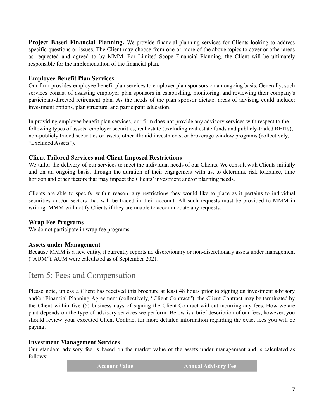**Project Based Financial Planning.** We provide financial planning services for Clients looking to address specific questions or issues. The Client may choose from one or more of the above topics to cover or other areas as requested and agreed to by MMM. For Limited Scope Financial Planning, the Client will be ultimately responsible for the implementation of the financial plan.

#### **Employee Benefit Plan Services**

Our firm provides employee benefit plan services to employer plan sponsors on an ongoing basis. Generally, such services consist of assisting employer plan sponsors in establishing, monitoring, and reviewing their company's participant-directed retirement plan. As the needs of the plan sponsor dictate, areas of advising could include: investment options, plan structure, and participant education.

In providing employee benefit plan services, our firm does not provide any advisory services with respect to the following types of assets: employer securities, real estate (excluding real estate funds and publicly-traded REITs), non-publicly traded securities or assets, other illiquid investments, or brokerage window programs (collectively, "Excluded Assets").

#### **Client Tailored Services and Client Imposed Restrictions**

We tailor the delivery of our services to meet the individual needs of our Clients. We consult with Clients initially and on an ongoing basis, through the duration of their engagement with us, to determine risk tolerance, time horizon and other factors that may impact the Clients' investment and/or planning needs.

Clients are able to specify, within reason, any restrictions they would like to place as it pertains to individual securities and/or sectors that will be traded in their account. All such requests must be provided to MMM in writing. MMM will notify Clients if they are unable to accommodate any requests.

#### **Wrap Fee Programs**

We do not participate in wrap fee programs.

#### **Assets under Management**

Because MMM is a new entity, it currently reports no discretionary or non-discretionary assets under management ("AUM"). AUM were calculated as of September 2021.

## <span id="page-6-0"></span>Item 5: Fees and Compensation

Please note, unless a Client has received this brochure at least 48 hours prior to signing an investment advisory and/or Financial Planning Agreement (collectively, "Client Contract"), the Client Contract may be terminated by the Client within five (5) business days of signing the Client Contract without incurring any fees. How we are paid depends on the type of advisory services we perform. Below is a brief description of our fees, however, you should review your executed Client Contract for more detailed information regarding the exact fees you will be paying.

#### **Investment Management Services**

Our standard advisory fee is based on the market value of the assets under management and is calculated as follows:

**Account Value Annual Advisory Fee**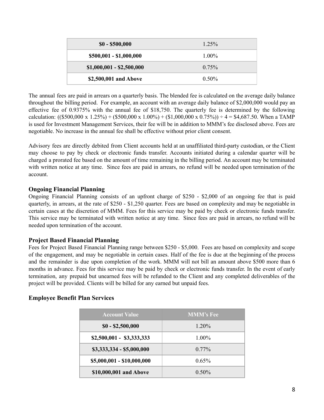| $$0 - $500,000$           | $1.25\%$ |
|---------------------------|----------|
| \$500,001 - \$1,000,000   | $1.00\%$ |
| $$1,000,001 - $2,500,000$ | $0.75\%$ |
| \$2,500,001 and Above     | $0.50\%$ |

The annual fees are paid in arrears on a quarterly basis. The blended fee is calculated on the average daily balance throughout the billing period. For example, an account with an average daily balance of \$2,000,000 would pay an effective fee of 0.9375% with the annual fee of \$18,750. The quarterly fee is determined by the following calculation: ((\$500,000 x 1.25%) + (\$500,000 x 1.00%) + (\$1,000,000 x 0.75%)) ÷ 4 = \$4,687.50. When a TAMP is used for Investment Management Services, their fee will be in addition to MMM's fee disclosed above. Fees are negotiable. No increase in the annual fee shall be effective without prior client consent.

Advisory fees are directly debited from Client accounts held at an unaffiliated third-party custodian, or the Client may choose to pay by check or electronic funds transfer. Accounts initiated during a calendar quarter will be charged a prorated fee based on the amount of time remaining in the billing period. An account may be terminated with written notice at any time. Since fees are paid in arrears, no refund will be needed upon termination of the account.

#### **Ongoing Financial Planning**

Ongoing Financial Planning consists of an upfront charge of \$250 - \$2,000 of an ongoing fee that is paid quarterly, in arrears, at the rate of \$250 - \$1,250 quarter. Fees are based on complexity and may be negotiable in certain cases at the discretion of MMM. Fees for this service may be paid by check or electronic funds transfer. This service may be terminated with written notice at any time. Since fees are paid in arrears, no refund will be needed upon termination of the account.

#### **Project Based Financial Planning**

Fees for Project Based Financial Planning range between \$250 - \$5,000. Fees are based on complexity and scope of the engagement, and may be negotiable in certain cases. Half of the fee is due at the beginning of the process and the remainder is due upon completion of the work. MMM will not bill an amount above \$500 more than 6 months in advance. Fees for this service may be paid by check or electronic funds transfer. In the event of early termination, any prepaid but unearned fees will be refunded to the Client and any completed deliverables of the project will be provided. Clients will be billed for any earned but unpaid fees.

#### **Employee Benefit Plan Services**

| <b>Account Value</b>       | <b>MMM's Fee</b> |
|----------------------------|------------------|
| $$0 - $2,500,000$          | 1.20%            |
| $$2,500,001 - $3,333,333$  | $1.00\%$         |
| $$3,333,334 - $5,000,000$  | $0.77\%$         |
| \$5,000,001 - \$10,000,000 | $0.65\%$         |
| \$10,000,001 and Above     | $0.50\%$         |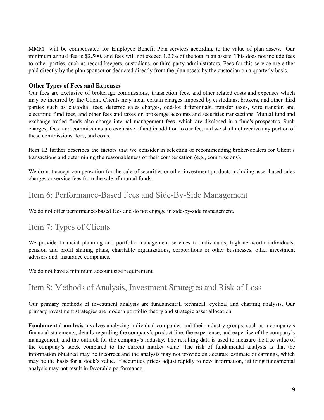MMM will be compensated for Employee Benefit Plan services according to the value of plan assets. Our minimum annual fee is \$2,500, and fees will not exceed 1.20% of the total plan assets. This does not include fees to other parties, such as record keepers, custodians, or third-party administrators. Fees for this service are either paid directly by the plan sponsor or deducted directly from the plan assets by the custodian on a quarterly basis.

#### **Other Types of Fees and Expenses**

Our fees are exclusive of brokerage commissions, transaction fees, and other related costs and expenses which may be incurred by the Client. Clients may incur certain charges imposed by custodians, brokers, and other third parties such as custodial fees, deferred sales charges, odd-lot differentials, transfer taxes, wire transfer, and electronic fund fees, and other fees and taxes on brokerage accounts and securities transactions. Mutual fund and exchange-traded funds also charge internal management fees, which are disclosed in a fund's prospectus. Such charges, fees, and commissions are exclusive of and in addition to our fee, and we shall not receive any portion of these commissions, fees, and costs.

Item 12 further describes the factors that we consider in selecting or recommending broker-dealers for Client's transactions and determining the reasonableness of their compensation (e.g., commissions).

We do not accept compensation for the sale of securities or other investment products including asset-based sales charges or service fees from the sale of mutual funds.

## <span id="page-8-0"></span>Item 6: Performance-Based Fees and Side-By-Side Management

We do not offer performance-based fees and do not engage in side-by-side management.

## <span id="page-8-1"></span>Item 7: Types of Clients

We provide financial planning and portfolio management services to individuals, high net-worth individuals, pension and profit sharing plans, charitable organizations, corporations or other businesses, other investment advisers and insurance companies.

We do not have a minimum account size requirement.

## <span id="page-8-2"></span>Item 8: Methods of Analysis, Investment Strategies and Risk of Loss

Our primary methods of investment analysis are fundamental, technical, cyclical and charting analysis. Our primary investment strategies are modern portfolio theory and strategic asset allocation.

**Fundamental analysis** involves analyzing individual companies and their industry groups, such as a company's financial statements, details regarding the company's product line, the experience, and expertise of the company's management, and the outlook for the company's industry. The resulting data is used to measure the true value of the company's stock compared to the current market value. The risk of fundamental analysis is that the information obtained may be incorrect and the analysis may not provide an accurate estimate of earnings, which may be the basis for a stock's value. If securities prices adjust rapidly to new information, utilizing fundamental analysis may not result in favorable performance.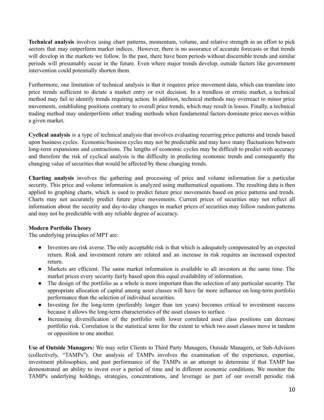**Technical analysis** involves using chart patterns, momentum, volume, and relative strength in an effort to pick sectors that may outperform market indices. However, there is no assurance of accurate forecasts or that trends will develop in the markets we follow. In the past, there have been periods without discernible trends and similar periods will presumably occur in the future. Even where major trends develop, outside factors like government intervention could potentially shorten them.

Furthermore, one limitation of technical analysis is that it requires price movement data, which can translate into price trends sufficient to dictate a market entry or exit decision. In a trendless or erratic market, a technical method may fail to identify trends requiring action. In addition, technical methods may overreact to minor price movements, establishing positions contrary to overall price trends, which may result in losses. Finally, a technical trading method may underperform other trading methods when fundamental factors dominate price moves within a given market.

**Cyclical analysis** is a type of technical analysis that involves evaluating recurring price patterns and trends based upon business cycles. Economic/business cycles may not be predictable and may have many fluctuations between long-term expansions and contractions. The lengths of economic cycles may be difficult to predict with accuracy and therefore the risk of cyclical analysis is the difficulty in predicting economic trends and consequently the changing value of securities that would be affected by these changing trends.

**Charting analysis** involves the gathering and processing of price and volume information for a particular security. This price and volume information is analyzed using mathematical equations. The resulting data is then applied to graphing charts, which is used to predict future price movements based on price patterns and trends. Charts may not accurately predict future price movements. Current prices of securities may not reflect all information about the security and day-to-day changes in market prices of securities may follow random patterns and may not be predictable with any reliable degree of accuracy.

#### **Modern Portfolio Theory**

The underlying principles of MPT are:

- Investors are risk averse. The only acceptable risk is that which is adequately compensated by an expected return. Risk and investment return are related and an increase in risk requires an increased expected return.
- Markets are efficient. The same market information is available to all investors at the same time. The market prices every security fairly based upon this equal availability of information.
- The design of the portfolio as a whole is more important than the selection of any particular security. The appropriate allocation of capital among asset classes will have far more influence on long-term portfolio performance than the selection of individual securities.
- Investing for the long-term (preferably longer than ten years) becomes critical to investment success because it allows the long-term characteristics of the asset classes to surface.
- Increasing diversification of the portfolio with lower correlated asset class positions can decrease portfolio risk. Correlation is the statistical term for the extent to which two asset classes move in tandem or opposition to one another.

**Use of Outside Managers:** We may refer Clients to Third Party Managers, Outside Managers, or Sub-Advisors (collectively, "TAMPs"). Our analysis of TAMPs involves the examination of the experience, expertise, investment philosophies, and past performance of the TAMPs in an attempt to determine if that TAMP has demonstrated an ability to invest over a period of time and in different economic conditions. We monitor the TAMP's underlying holdings, strategies, concentrations, and leverage as part of our overall periodic risk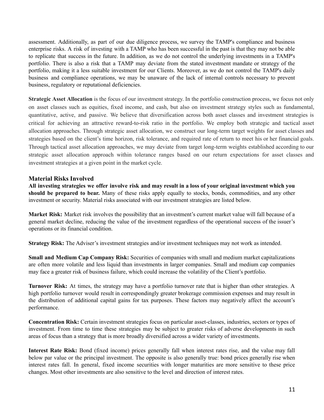assessment. Additionally, as part of our due diligence process, we survey the TAMP's compliance and business enterprise risks. A risk of investing with a TAMP who has been successful in the past is that they may not be able to replicate that success in the future. In addition, as we do not control the underlying investments in a TAMP's portfolio. There is also a risk that a TAMP may deviate from the stated investment mandate or strategy of the portfolio, making it a less suitable investment for our Clients. Moreover, as we do not control the TAMP's daily business and compliance operations, we may be unaware of the lack of internal controls necessary to prevent business, regulatory or reputational deficiencies.

**Strategic Asset Allocation** is the focus of our investment strategy. In the portfolio construction process, we focus not only on asset classes such as equities, fixed income, and cash, but also on investment strategy styles such as fundamental, quantitative, active, and passive. We believe that diversification across both asset classes and investment strategies is critical for achieving an attractive reward-to-risk ratio in the portfolio. We employ both strategic and tactical asset allocation approaches. Through strategic asset allocation, we construct our long-term target weights for asset classes and strategies based on the client's time horizon, risk tolerance, and required rate of return to meet his or her financial goals. Through tactical asset allocation approaches, we may deviate from target long-term weights established according to our strategic asset allocation approach within tolerance ranges based on our return expectations for asset classes and investment strategies at a given point in the market cycle.

#### **Material Risks Involved**

All investing strategies we offer involve risk and may result in a loss of your original investment which you **should be prepared to bear.** Many of these risks apply equally to stocks, bonds, commodities, and any other investment or security. Material risks associated with our investment strategies are listed below.

**Market Risk:** Market risk involves the possibility that an investment's current market value will fall because of a general market decline, reducing the value of the investment regardless of the operational success of the issuer's operations or its financial condition.

**Strategy Risk:** The Adviser's investment strategies and/or investment techniques may not work as intended.

**Small and Medium Cap Company Risk:** Securities of companies with small and medium market capitalizations are often more volatile and less liquid than investments in larger companies. Small and medium cap companies may face a greater risk of business failure, which could increase the volatility of the Client's portfolio.

**Turnover Risk:** At times, the strategy may have a portfolio turnover rate that is higher than other strategies. A high portfolio turnover would result in correspondingly greater brokerage commission expenses and may result in the distribution of additional capital gains for tax purposes. These factors may negatively affect the account's performance.

**Concentration Risk:** Certain investment strategies focus on particular asset-classes, industries, sectors or types of investment. From time to time these strategies may be subject to greater risks of adverse developments in such areas of focus than a strategy that is more broadly diversified across a wider variety of investments.

**Interest Rate Risk:** Bond (fixed income) prices generally fall when interest rates rise, and the value may fall below par value or the principal investment. The opposite is also generally true: bond prices generally rise when interest rates fall. In general, fixed income securities with longer maturities are more sensitive to these price changes. Most other investments are also sensitive to the level and direction of interest rates.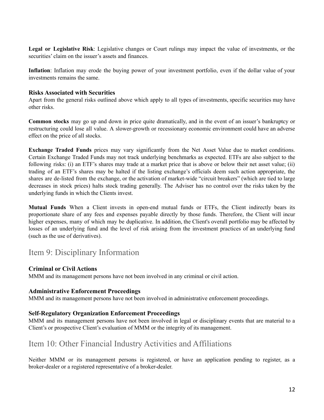**Legal or Legislative Risk**: Legislative changes or Court rulings may impact the value of investments, or the securities' claim on the issuer's assets and finances.

**Inflation**: Inflation may erode the buying power of your investment portfolio, even if the dollar value of your investments remains the same.

#### **Risks Associated with Securities**

Apart from the general risks outlined above which apply to all types of investments, specific securities may have other risks.

**Common stocks** may go up and down in price quite dramatically, and in the event of an issuer's bankruptcy or restructuring could lose all value. A slower-growth or recessionary economic environment could have an adverse effect on the price of all stocks.

**Exchange Traded Funds** prices may vary significantly from the Net Asset Value due to market conditions. Certain Exchange Traded Funds may not track underlying benchmarks as expected. ETFs are also subject to the following risks: (i) an ETF's shares may trade at a market price that is above or below their net asset value; (ii) trading of an ETF's shares may be halted if the listing exchange's officials deem such action appropriate, the shares are de-listed from the exchange, or the activation of market-wide "circuit breakers" (which are tied to large decreases in stock prices) halts stock trading generally. The Adviser has no control over the risks taken by the underlying funds in which the Clients invest.

**Mutual Funds** When a Client invests in open-end mutual funds or ETFs, the Client indirectly bears its proportionate share of any fees and expenses payable directly by those funds. Therefore, the Client will incur higher expenses, many of which may be duplicative. In addition, the Client's overall portfolio may be affected by losses of an underlying fund and the level of risk arising from the investment practices of an underlying fund (such as the use of derivatives).

### <span id="page-11-0"></span>Item 9: Disciplinary Information

#### **Criminal or Civil Actions**

MMM and its management persons have not been involved in any criminal or civil action.

#### **Administrative Enforcement Proceedings**

MMM and its management persons have not been involved in administrative enforcement proceedings.

#### **Self-Regulatory Organization Enforcement Proceedings**

MMM and its management persons have not been involved in legal or disciplinary events that are material to a Client's or prospective Client's evaluation of MMM or the integrity of its management.

## <span id="page-11-1"></span>Item 10: Other Financial Industry Activities and Affiliations

Neither MMM or its management persons is registered, or have an application pending to register, as a broker-dealer or a registered representative of a broker-dealer.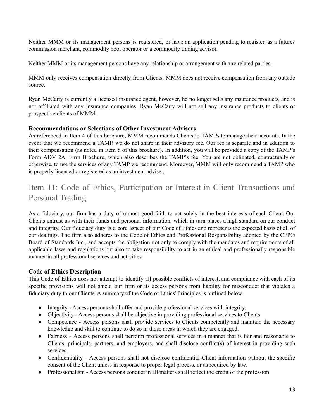Neither MMM or its management persons is registered, or have an application pending to register, as a futures commission merchant, commodity pool operator or a commodity trading advisor.

Neither MMM or its management persons have any relationship or arrangement with any related parties.

MMM only receives compensation directly from Clients. MMM does not receive compensation from any outside source.

Ryan McCarty is currently a licensed insurance agent, however, he no longer sells any insurance products, and is not affiliated with any insurance companies. Ryan McCarty will not sell any insurance products to clients or prospective clients of MMM.

#### **Recommendations or Selections of Other Investment Advisers**

As referenced in Item 4 of this brochure, MMM recommends Clients to TAMPs to manage their accounts. In the event that we recommend a TAMP, we do not share in their advisory fee. Our fee is separate and in addition to their compensation (as noted in Item 5 of this brochure). In addition, you will be provided a copy of the TAMP's Form ADV 2A, Firm Brochure, which also describes the TAMP's fee. You are not obligated, contractually or otherwise, to use the services of any TAMP we recommend. Moreover, MMM will only recommend a TAMP who is properly licensed or registered as an investment adviser.

## <span id="page-12-0"></span>Item 11: Code of Ethics, Participation or Interest in Client Transactions and Personal Trading

As a fiduciary, our firm has a duty of utmost good faith to act solely in the best interests of each Client. Our Clients entrust us with their funds and personal information, which in turn places a high standard on our conduct and integrity. Our fiduciary duty is a core aspect of our Code of Ethics and represents the expected basis of all of our dealings. The firm also adheres to the Code of Ethics and Professional Responsibility adopted by the CFP® Board of Standards Inc., and accepts the obligation not only to comply with the mandates and requirements of all applicable laws and regulations but also to take responsibility to act in an ethical and professionally responsible manner in all professional services and activities.

#### **Code of Ethics Description**

This Code of Ethics does not attempt to identify all possible conflicts of interest, and compliance with each of its specific provisions will not shield our firm or its access persons from liability for misconduct that violates a fiduciary duty to our Clients. A summary of the Code of Ethics' Principles is outlined below.

- Integrity Access persons shall offer and provide professional services with integrity.
- Objectivity Access persons shall be objective in providing professional services to Clients.
- Competence Access persons shall provide services to Clients competently and maintain the necessary knowledge and skill to continue to do so in those areas in which they are engaged.
- Fairness Access persons shall perform professional services in a manner that is fair and reasonable to Clients, principals, partners, and employers, and shall disclose conflict(s) of interest in providing such services.
- Confidentiality Access persons shall not disclose confidential Client information without the specific consent of the Client unless in response to proper legal process, or as required by law.
- Professionalism Access persons conduct in all matters shall reflect the credit of the profession.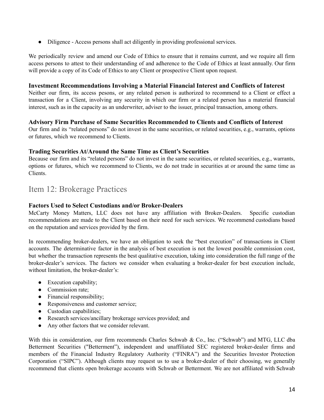● Diligence - Access persons shall act diligently in providing professional services.

We periodically review and amend our Code of Ethics to ensure that it remains current, and we require all firm access persons to attest to their understanding of and adherence to the Code of Ethics at least annually. Our firm will provide a copy of its Code of Ethics to any Client or prospective Client upon request.

#### **Investment Recommendations Involving a Material Financial Interest and Conflicts of Interest**

Neither our firm, its access pesons, or any related person is authorized to recommend to a Client or effect a transaction for a Client, involving any security in which our firm or a related person has a material financial interest, such as in the capacity as an underwriter, adviser to the issuer, principal transaction, among others.

#### **Advisory Firm Purchase of Same Securities Recommended to Clients and Conflicts of Interest**

Our firm and its "related persons" do not invest in the same securities, or related securities, e.g., warrants, options or futures, which we recommend to Clients.

#### **Trading Securities At/Around the Same Time as Client's Securities**

Because our firm and its "related persons" do not invest in the same securities, or related securities, e.g., warrants, options or futures, which we recommend to Clients, we do not trade in securities at or around the same time as Clients.

## <span id="page-13-0"></span>Item 12: Brokerage Practices

#### **Factors Used to Select Custodians and/or Broker-Dealers**

McCarty Money Matters, LLC does not have any affiliation with Broker-Dealers. Specific custodian recommendations are made to the Client based on their need for such services. We recommend custodians based on the reputation and services provided by the firm.

In recommending broker-dealers, we have an obligation to seek the "best execution" of transactions in Client accounts. The determinative factor in the analysis of best execution is not the lowest possible commission cost, but whether the transaction represents the best qualitative execution, taking into consideration the full range of the broker-dealer's services. The factors we consider when evaluating a broker-dealer for best execution include, without limitation, the broker-dealer's:

- Execution capability;
- Commission rate:
- Financial responsibility;
- Responsiveness and customer service;
- Custodian capabilities;
- Research services/ancillary brokerage services provided; and
- Any other factors that we consider relevant.

With this in consideration, our firm recommends Charles Schwab & Co., Inc. ("Schwab") and MTG, LLC dba Betterment Securities ("Betterment"), independent and unaffiliated SEC registered broker-dealer firms and members of the Financial Industry Regulatory Authority ("FINRA") and the Securities Investor Protection Corporation ("SIPC"). Although clients may request us to use a broker-dealer of their choosing, we generally recommend that clients open brokerage accounts with Schwab or Betterment. We are not affiliated with Schwab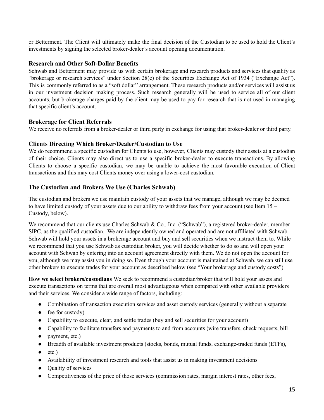or Betterment. The Client will ultimately make the final decision of the Custodian to be used to hold the Client's investments by signing the selected broker-dealer's account opening documentation.

#### **Research and Other Soft-Dollar Benefits**

Schwab and Betterment may provide us with certain brokerage and research products and services that qualify as "brokerage or research services" under Section 28(e) of the Securities Exchange Act of 1934 ("Exchange Act"). This is commonly referred to as a "soft dollar" arrangement. These research products and/or services will assist us in our investment decision making process. Such research generally will be used to service all of our client accounts, but brokerage charges paid by the client may be used to pay for research that is not used in managing that specific client's account.

#### **Brokerage for Client Referrals**

We receive no referrals from a broker-dealer or third party in exchange for using that broker-dealer or third party.

#### **Clients Directing Which Broker/Dealer/Custodian to Use**

We do recommend a specific custodian for Clients to use, however, Clients may custody their assets at a custodian of their choice. Clients may also direct us to use a specific broker-dealer to execute transactions. By allowing Clients to choose a specific custodian, we may be unable to achieve the most favorable execution of Client transactions and this may cost Clients money over using a lower-cost custodian.

#### **The Custodian and Brokers We Use (Charles Schwab)**

The custodian and brokers we use maintain custody of your assets that we manage, although we may be deemed to have limited custody of your assets due to our ability to withdraw fees from your account (see Item 15 – Custody, below).

We recommend that our clients use Charles Schwab & Co., Inc. ("Schwab"), a registered broker-dealer, member SIPC, as the qualified custodian. We are independently owned and operated and are not affiliated with Schwab. Schwab will hold your assets in a brokerage account and buy and sell securities when we instruct them to. While we recommend that you use Schwab as custodian broker, you will decide whether to do so and will open your account with Schwab by entering into an account agreement directly with them. We do not open the account for you, although we may assist you in doing so. Even though your account is maintained at Schwab, we can still use other brokers to execute trades for your account as described below (see "Your brokerage and custody costs")

**How we select brokers/custodians** We seek to recommend a custodian/broker that will hold your assets and execute transactions on terms that are overall most advantageous when compared with other available providers and their services. We consider a wide range of factors, including:

- Combination of transaction execution services and asset custody services (generally without a separate
- fee for custody)
- Capability to execute, clear, and settle trades (buy and sell securities for your account)
- Capability to facilitate transfers and payments to and from accounts (wire transfers, check requests, bill
- payment, etc.)
- Breadth of available investment products (stocks, bonds, mutual funds, exchange-traded funds (ETFs),
- $\bullet$  etc.)
- Availability of investment research and tools that assist us in making investment decisions
- Quality of services
- Competitiveness of the price of those services (commission rates, margin interest rates, other fees,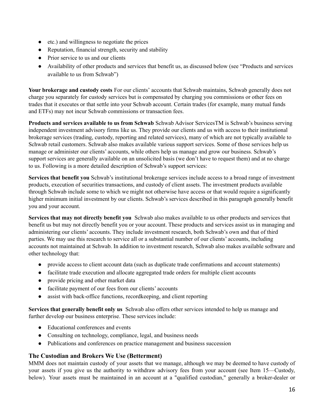- etc.) and willingness to negotiate the prices
- Reputation, financial strength, security and stability
- Prior service to us and our clients
- Availability of other products and services that benefit us, as discussed below (see "Products and services available to us from Schwab")

**Your brokerage and custody costs** For our clients' accounts that Schwab maintains, Schwab generally does not charge you separately for custody services but is compensated by charging you commissions or other fees on trades that it executes or that settle into your Schwab account. Certain trades (for example, many mutual funds and ETFs) may not incur Schwab commissions or transaction fees.

**Products and services available to us from Schwab** Schwab Advisor ServicesTM is Schwab's business serving independent investment advisory firms like us. They provide our clients and us with access to their institutional brokerage services (trading, custody, reporting and related services), many of which are not typically available to Schwab retail customers. Schwab also makes available various support services. Some of those services help us manage or administer our clients' accounts, while others help us manage and grow our business. Schwab's support services are generally available on an unsolicited basis (we don't have to request them) and at no charge to us. Following is a more detailed description of Schwab's support services:

**Services that benefit you** Schwab's institutional brokerage services include access to a broad range of investment products, execution of securities transactions, and custody of client assets. The investment products available through Schwab include some to which we might not otherwise have access or that would require a significantly higher minimum initial investment by our clients. Schwab's services described in this paragraph generally benefit you and your account.

**Services that may not directly benefit you** Schwab also makes available to us other products and services that benefit us but may not directly benefit you or your account. These products and services assist us in managing and administering our clients' accounts. They include investment research, both Schwab's own and that of third parties. We may use this research to service all or a substantial number of our clients' accounts, including accounts not maintained at Schwab. In addition to investment research, Schwab also makes available software and other technology that:

- provide access to client account data (such as duplicate trade confirmations and account statements)
- facilitate trade execution and allocate aggregated trade orders for multiple client accounts
- provide pricing and other market data
- facilitate payment of our fees from our clients' accounts
- assist with back-office functions, recordkeeping, and client reporting

**Services that generally benefit only us** Schwab also offers other services intended to help us manage and further develop our business enterprise. These services include:

- Educational conferences and events
- Consulting on technology, compliance, legal, and business needs
- Publications and conferences on practice management and business succession

#### **The Custodian and Brokers We Use (Betterment)**

MMM does not maintain custody of your assets that we manage, although we may be deemed to have custody of your assets if you give us the authority to withdraw advisory fees from your account (see Item 15—Custody, below). Your assets must be maintained in an account at a "qualified custodian," generally a broker-dealer or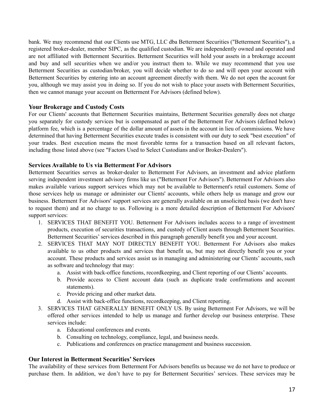bank. We may recommend that our Clients use MTG, LLC dba Betterment Securities ("Betterment Securities"), a registered broker-dealer, member SIPC, as the qualified custodian. We are independently owned and operated and are not affiliated with Betterment Securities. Betterment Securities will hold your assets in a brokerage account and buy and sell securities when we and/or you instruct them to. While we may recommend that you use Betterment Securities as custodian/broker, you will decide whether to do so and will open your account with Betterment Securities by entering into an account agreement directly with them. We do not open the account for you, although we may assist you in doing so. If you do not wish to place your assets with Betterment Securities, then we cannot manage your account on Betterment For Advisors (defined below).

#### **Your Brokerage and Custody Costs**

For our Clients' accounts that Betterment Securities maintains, Betterment Securities generally does not charge you separately for custody services but is compensated as part of the Betterment For Advisors (defined below) platform fee, which is a percentage of the dollar amount of assets in the account in lieu of commissions. We have determined that having Betterment Securities execute trades is consistent with our duty to seek "best execution" of your trades. Best execution means the most favorable terms for a transaction based on all relevant factors, including those listed above (see "Factors Used to Select Custodians and/or Broker-Dealers").

#### **Services Available to Us via Betterment For Advisors**

Betterment Securities serves as broker-dealer to Betterment For Advisors, an investment and advice platform serving independent investment advisory firms like us ("Betterment For Advisors"). Betterment For Advisors also makes available various support services which may not be available to Betterment's retail customers. Some of those services help us manage or administer our Clients' accounts, while others help us manage and grow our business. Betterment For Advisors' support services are generally available on an unsolicited basis (we don't have to request them) and at no charge to us. Following is a more detailed description of Betterment For Advisors' support services:

- 1. SERVICES THAT BENEFIT YOU. Betterment For Advisors includes access to a range of investment products, execution of securities transactions, and custody of Client assets through Betterment Securities. Betterment Securities' services described in this paragraph generally benefit you and your account.
- 2. SERVICES THAT MAY NOT DIRECTLY BENEFIT YOU. Betterment For Advisors also makes available to us other products and services that benefit us, but may not directly benefit you or your account. These products and services assist us in managing and administering our Clients' accounts, such as software and technology that may:
	- a. Assist with back-office functions, recordkeeping, and Client reporting of our Clients' accounts.
	- b. Provide access to Client account data (such as duplicate trade confirmations and account statements).
	- c. Provide pricing and other market data.
	- d. Assist with back-office functions, recordkeeping, and Client reporting.
- 3. SERVICES THAT GENERALLY BENEFIT ONLY US. By using Betterment For Advisors, we will be offered other services intended to help us manage and further develop our business enterprise. These services include:
	- a. Educational conferences and events.
	- b. Consulting on technology, compliance, legal, and business needs.
	- c. Publications and conferences on practice management and business succession.

#### **Our Interest in Betterment Securities' Services**

The availability of these services from Betterment For Advisors benefits us because we do not have to produce or purchase them. In addition, we don't have to pay for Betterment Securities' services. These services may be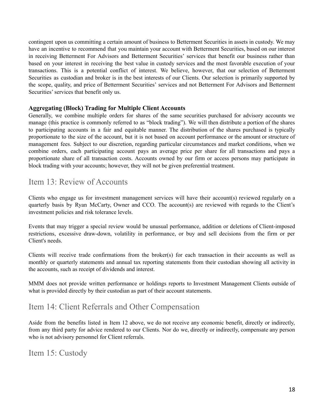contingent upon us committing a certain amount of business to Betterment Securities in assets in custody. We may have an incentive to recommend that you maintain your account with Betterment Securities, based on our interest in receiving Betterment For Advisors and Betterment Securities' services that benefit our business rather than based on your interest in receiving the best value in custody services and the most favorable execution of your transactions. This is a potential conflict of interest. We believe, however, that our selection of Betterment Securities as custodian and broker is in the best interests of our Clients. Our selection is primarily supported by the scope, quality, and price of Betterment Securities' services and not Betterment For Advisors and Betterment Securities' services that benefit only us.

#### **Aggregating (Block) Trading for Multiple Client Accounts**

Generally, we combine multiple orders for shares of the same securities purchased for advisory accounts we manage (this practice is commonly referred to as "block trading"). We will then distribute a portion of the shares to participating accounts in a fair and equitable manner. The distribution of the shares purchased is typically proportionate to the size of the account, but it is not based on account performance or the amount or structure of management fees. Subject to our discretion, regarding particular circumstances and market conditions, when we combine orders, each participating account pays an average price per share for all transactions and pays a proportionate share of all transaction costs. Accounts owned by our firm or access persons may participate in block trading with your accounts; however, they will not be given preferential treatment.

## <span id="page-17-0"></span>Item 13: Review of Accounts

Clients who engage us for investment management services will have their account(s) reviewed regularly on a quarterly basis by Ryan McCarty, Owner and CCO. The account(s) are reviewed with regards to the Client's investment policies and risk tolerance levels.

Events that may trigger a special review would be unusual performance, addition or deletions of Client-imposed restrictions, excessive draw-down, volatility in performance, or buy and sell decisions from the firm or per Client's needs.

Clients will receive trade confirmations from the broker(s) for each transaction in their accounts as well as monthly or quarterly statements and annual tax reporting statements from their custodian showing all activity in the accounts, such as receipt of dividends and interest.

MMM does not provide written performance or holdings reports to Investment Management Clients outside of what is provided directly by their custodian as part of their account statements.

## <span id="page-17-1"></span>Item 14: Client Referrals and Other Compensation

Aside from the benefits listed in Item 12 above, we do not receive any economic benefit, directly or indirectly, from any third party for advice rendered to our Clients. Nor do we, directly or indirectly, compensate any person who is not advisory personnel for Client referrals.

<span id="page-17-2"></span>Item 15: Custody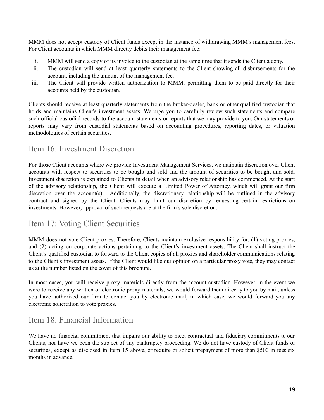MMM does not accept custody of Client funds except in the instance of withdrawing MMM's management fees. For Client accounts in which MMM directly debits their management fee:

- i. MMM will send a copy of its invoice to the custodian at the same time that it sends the Client a copy.
- ii. The custodian will send at least quarterly statements to the Client showing all disbursements for the account, including the amount of the management fee.
- iii. The Client will provide written authorization to MMM, permitting them to be paid directly for their accounts held by the custodian.

Clients should receive at least quarterly statements from the broker-dealer, bank or other qualified custodian that holds and maintains Client's investment assets. We urge you to carefully review such statements and compare such official custodial records to the account statements or reports that we may provide to you. Our statements or reports may vary from custodial statements based on accounting procedures, reporting dates, or valuation methodologies of certain securities.

## <span id="page-18-0"></span>Item 16: Investment Discretion

For those Client accounts where we provide Investment Management Services, we maintain discretion over Client accounts with respect to securities to be bought and sold and the amount of securities to be bought and sold. Investment discretion is explained to Clients in detail when an advisory relationship has commenced. At the start of the advisory relationship, the Client will execute a Limited Power of Attorney, which will grant our firm discretion over the account(s). Additionally, the discretionary relationship will be outlined in the advisory contract and signed by the Client. Clients may limit our discretion by requesting certain restrictions on investments. However, approval of such requests are at the firm's sole discretion.

## <span id="page-18-1"></span>Item 17: Voting Client Securities

MMM does not vote Client proxies. Therefore, Clients maintain exclusive responsibility for: (1) voting proxies, and (2) acting on corporate actions pertaining to the Client's investment assets. The Client shall instruct the Client's qualified custodian to forward to the Client copies of all proxies and shareholder communications relating to the Client's investment assets. If the Client would like our opinion on a particular proxy vote, they may contact us at the number listed on the cover of this brochure.

In most cases, you will receive proxy materials directly from the account custodian. However, in the event we were to receive any written or electronic proxy materials, we would forward them directly to you by mail, unless you have authorized our firm to contact you by electronic mail, in which case, we would forward you any electronic solicitation to vote proxies.

## <span id="page-18-2"></span>Item 18: Financial Information

We have no financial commitment that impairs our ability to meet contractual and fiduciary commitments to our Clients, nor have we been the subject of any bankruptcy proceeding. We do not have custody of Client funds or securities, except as disclosed in Item 15 above, or require or solicit prepayment of more than \$500 in fees six months in advance.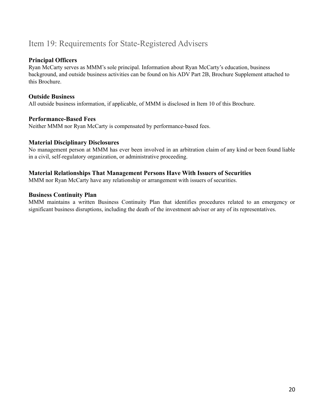## <span id="page-19-0"></span>Item 19: Requirements for State-Registered Advisers

#### **Principal Officers**

Ryan McCarty serves as MMM's sole principal. Information about Ryan McCarty's education, business background, and outside business activities can be found on his ADV Part 2B, Brochure Supplement attached to this Brochure.

#### **Outside Business**

All outside business information, if applicable, of MMM is disclosed in Item 10 of this Brochure.

#### **Performance-Based Fees**

Neither MMM nor Ryan McCarty is compensated by performance-based fees.

#### **Material Disciplinary Disclosures**

No management person at MMM has ever been involved in an arbitration claim of any kind or been found liable in a civil, self-regulatory organization, or administrative proceeding.

#### **Material Relationships That Management Persons Have With Issuers of Securities**

MMM nor Ryan McCarty have any relationship or arrangement with issuers of securities.

#### **Business Continuity Plan**

MMM maintains a written Business Continuity Plan that identifies procedures related to an emergency or significant business disruptions, including the death of the investment adviser or any of its representatives.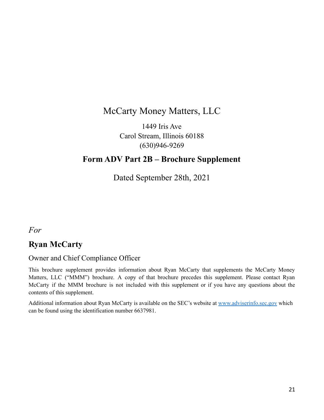# McCarty Money Matters, LLC

1449 Iris Ave Carol Stream, Illinois 60188 (630)946-9269

## <span id="page-20-0"></span>**Form ADV Part 2B – Brochure Supplement**

Dated September 28th, 2021

*For*

## **Ryan McCarty**

### Owner and Chief Compliance Officer

This brochure supplement provides information about Ryan McCarty that supplements the McCarty Money Matters, LLC ("MMM") brochure. A copy of that brochure precedes this supplement. Please contact Ryan McCarty if the MMM brochure is not included with this supplement or if you have any questions about the contents of this supplement.

Additional information about Ryan McCarty is available on the SEC's website at [www.adviserinfo.sec.gov](http://www.adviserinfo.sec.gov) which can be found using the identification number 6637981.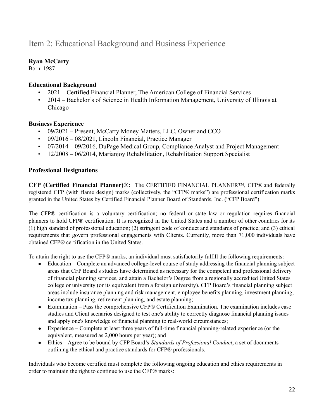# Item 2: Educational Background and Business Experience

### **Ryan McCarty**

Born: 1987

### **Educational Background**

- 2021 Certified Financial Planner, The American College of Financial Services
- 2014 Bachelor's of Science in Health Information Management, University of Illinois at Chicago

#### **Business Experience**

- 09/2021 Present, McCarty Money Matters, LLC, Owner and CCO
- 09/2016 08/2021, Lincoln Financial, Practice Manager
- 07/2014 09/2016, DuPage Medical Group, Compliance Analyst and Project Management
- 12/2008 06/2014, Marianjov Rehabilitation, Rehabilitation Support Specialist

#### **Professional Designations**

**CFP (Certified Financial Planner)**®**:** The CERTIFIED FINANCIAL PLANNER™, CFP® and federally registered CFP (with flame design) marks (collectively, the "CFP® marks") are professional certification marks granted in the United States by Certified Financial Planner Board of Standards, Inc. ("CFP Board").

The CFP® certification is a voluntary certification; no federal or state law or regulation requires financial planners to hold CFP® certification. It is recognized in the United States and a number of other countries for its (1) high standard of professional education; (2) stringent code of conduct and standards of practice; and (3) ethical requirements that govern professional engagements with Clients. Currently, more than 71,000 individuals have obtained CFP® certification in the United States.

To attain the right to use the CFP® marks, an individual must satisfactorily fulfill the following requirements:

- Education Complete an advanced college-level course of study addressing the financial planning subject areas that CFP Board's studies have determined as necessary for the competent and professional delivery of financial planning services, and attain a Bachelor's Degree from a regionally accredited United States college or university (or its equivalent from a foreign university). CFP Board's financial planning subject areas include insurance planning and risk management, employee benefits planning, investment planning, income tax planning, retirement planning, and estate planning;
- Examination Pass the comprehensive CFP® Certification Examination. The examination includes case studies and Client scenarios designed to test one's ability to correctly diagnose financial planning issues and apply one's knowledge of financial planning to real-world circumstances;
- Experience Complete at least three years of full-time financial planning-related experience (or the equivalent, measured as 2,000 hours per year); and
- Ethics Agree to be bound by CFP Board's *Standards of Professional Conduct*, a set of documents outlining the ethical and practice standards for CFP® professionals.

Individuals who become certified must complete the following ongoing education and ethics requirements in order to maintain the right to continue to use the CFP® marks: